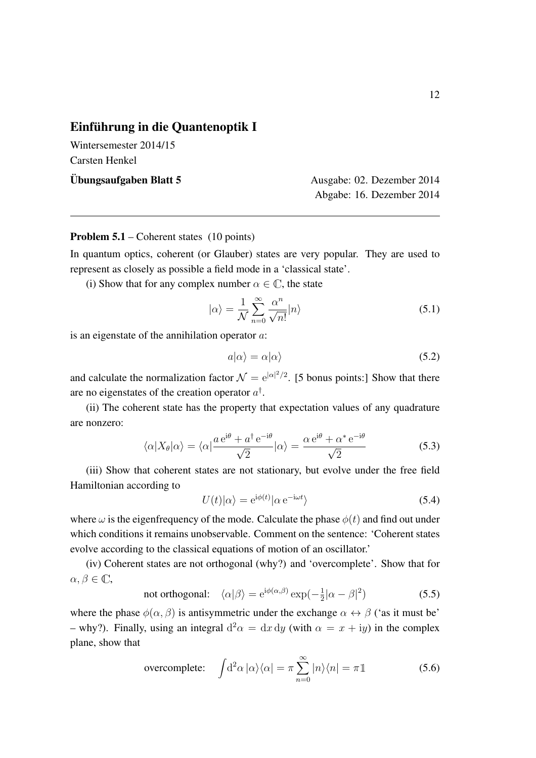## Einführung in die Quantenoptik I

Wintersemester 2014/15 Carsten Henkel

Ubungsaufgaben Blatt 5 ¨ Ausgabe: 02. Dezember 2014 Abgabe: 16. Dezember 2014

## Problem 5.1 – Coherent states (10 points)

In quantum optics, coherent (or Glauber) states are very popular. They are used to represent as closely as possible a field mode in a 'classical state'.

(i) Show that for any complex number  $\alpha \in \mathbb{C}$ , the state

$$
|\alpha\rangle = \frac{1}{\mathcal{N}} \sum_{n=0}^{\infty} \frac{\alpha^n}{\sqrt{n!}} |n\rangle
$$
 (5.1)

is an eigenstate of the annihilation operator *a*:

$$
a|\alpha\rangle = \alpha|\alpha\rangle \tag{5.2}
$$

and calculate the normalization factor  $\mathcal{N} = e^{|\alpha|^2/2}$ . [5 bonus points:] Show that there are no eigenstates of the creation operator *a†* .

(ii) The coherent state has the property that expectation values of any quadrature are nonzero:

$$
\langle \alpha | X_{\theta} | \alpha \rangle = \langle \alpha | \frac{a e^{i\theta} + a^{\dagger} e^{-i\theta}}{\sqrt{2}} | \alpha \rangle = \frac{\alpha e^{i\theta} + \alpha^* e^{-i\theta}}{\sqrt{2}} \tag{5.3}
$$

(iii) Show that coherent states are not stationary, but evolve under the free field Hamiltonian according to

$$
U(t)|\alpha\rangle = e^{i\phi(t)}|\alpha e^{-i\omega t}\rangle
$$
 (5.4)

where  $\omega$  is the eigenfrequency of the mode. Calculate the phase  $\phi(t)$  and find out under which conditions it remains unobservable. Comment on the sentence: 'Coherent states evolve according to the classical equations of motion of an oscillator.'

(iv) Coherent states are not orthogonal (why?) and 'overcomplete'. Show that for  $\alpha, \beta \in \mathbb{C}$ ,

not orthogonal: 
$$
\langle \alpha | \beta \rangle = e^{i\phi(\alpha,\beta)} \exp(-\frac{1}{2}|\alpha - \beta|^2)
$$
 (5.5)

where the phase  $\phi(\alpha, \beta)$  is antisymmetric under the exchange  $\alpha \leftrightarrow \beta$  ('as it must be' – why?). Finally, using an integral  $d^2\alpha = dx dy$  (with  $\alpha = x + iy$ ) in the complex plane, show that

overcomplete: 
$$
\int d^2\alpha |\alpha\rangle\langle\alpha| = \pi \sum_{n=0}^{\infty} |n\rangle\langle n| = \pi \mathbb{1}
$$
 (5.6)